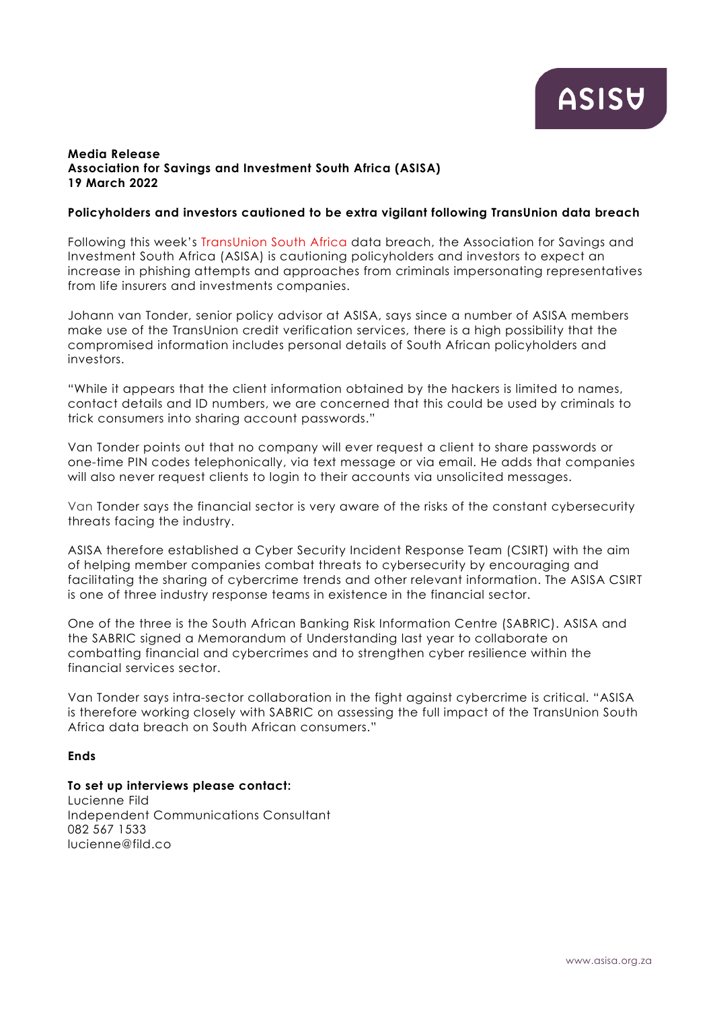# **Media Release Association for Savings and Investment South Africa (ASISA) 19 March 2022**

## **Policyholders and investors cautioned to be extra vigilant following TransUnion data breach**

Following this week's [TransUnion South Africa](https://newsroom.transunion.co.za/update-south-africa-cyber-incident/) data breach, the Association for Savings and Investment South Africa (ASISA) is cautioning policyholders and investors to expect an increase in phishing attempts and approaches from criminals impersonating representatives from life insurers and investments companies.

Johann van Tonder, senior policy advisor at ASISA, says since a number of ASISA members make use of the TransUnion credit verification services, there is a high possibility that the compromised information includes personal details of South African policyholders and investors.

"While it appears that the client information obtained by the hackers is limited to names, contact details and ID numbers, we are concerned that this could be used by criminals to trick consumers into sharing account passwords."

Van Tonder points out that no company will ever request a client to share passwords or one-time PIN codes telephonically, via text message or via email. He adds that companies will also never request clients to login to their accounts via unsolicited messages.

Van Tonder says the financial sector is very aware of the risks of the constant cybersecurity threats facing the industry.

ASISA therefore established a Cyber Security Incident Response Team (CSIRT) with the aim of helping member companies combat threats to cybersecurity by encouraging and facilitating the sharing of cybercrime trends and other relevant information. The ASISA CSIRT is one of three industry response teams in existence in the financial sector.

One of the three is the South African Banking Risk Information Centre (SABRIC). ASISA and the SABRIC signed a Memorandum of Understanding last year to collaborate on combatting financial and cybercrimes and to strengthen cyber resilience within the financial services sector.

Van Tonder says intra-sector collaboration in the fight against cybercrime is critical. "ASISA is therefore working closely with SABRIC on assessing the full impact of the TransUnion South Africa data breach on South African consumers."

## **Ends**

## **To set up interviews please contact:**

Lucienne Fild Independent Communications Consultant 082 567 1533 lucienne@fild.co